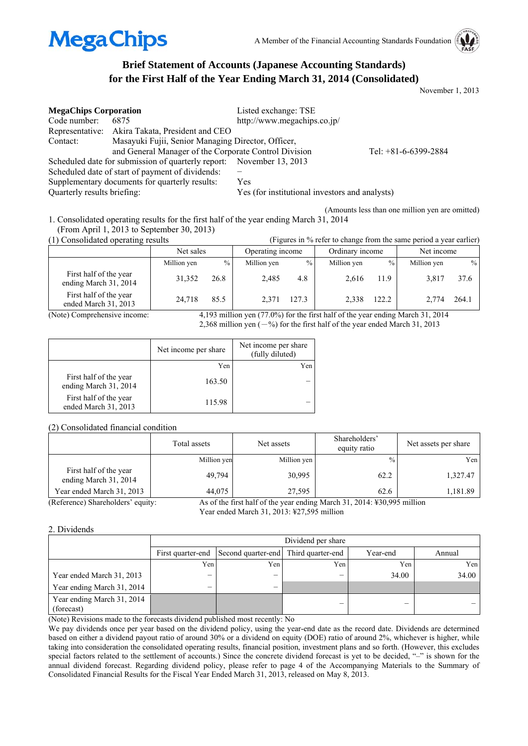

## **Brief Statement of Accounts (Japanese Accounting Standards) for the First Half of the Year Ending March 31, 2014 (Consolidated)**

November 1, 2013

| <b>MegaChips Corporation</b> |                                                                      | Listed exchange: TSE                           |                        |
|------------------------------|----------------------------------------------------------------------|------------------------------------------------|------------------------|
| Code number:                 | 6875                                                                 | http://www.megachips.co.jp/                    |                        |
|                              | Representative: Akira Takata, President and CEO                      |                                                |                        |
| Contact:                     | Masayuki Fujii, Senior Managing Director, Officer,                   |                                                |                        |
|                              | and General Manager of the Corporate Control Division                |                                                | Tel: $+81-6-6399-2884$ |
|                              | Scheduled date for submission of quarterly report: November 13, 2013 |                                                |                        |
|                              | Scheduled date of start of payment of dividends:                     |                                                |                        |
|                              | Supplementary documents for quarterly results:                       | Yes                                            |                        |
| Quarterly results briefing:  |                                                                      | Yes (for institutional investors and analysts) |                        |

(Amounts less than one million yen are omitted) 1. Consolidated operating results for the first half of the year ending March 31, 2014

(From April 1, 2013 to September 30, 2013)<br>(1) Consolidated operating results

| (1) Consolidated operating results              | (Figures in % refer to change from the same period a year earlier) |      |             |       |                  |       |                 |       |            |  |
|-------------------------------------------------|--------------------------------------------------------------------|------|-------------|-------|------------------|-------|-----------------|-------|------------|--|
|                                                 | Net sales                                                          |      |             |       | Operating income |       | Ordinary income |       | Net income |  |
|                                                 | Million yen                                                        | $\%$ | Million yen | $\%$  | Million yen      | $\%$  | Million yen     | $\%$  |            |  |
| First half of the year<br>ending March 31, 2014 | 31.352                                                             | 26.8 | 2.485       | 4.8   | 2.616            | 11.9  | 3.817           | 37.6  |            |  |
| First half of the year<br>ended March 31, 2013  | 24.718                                                             | 85.5 | 2.371       | 127.3 | 2.338            | 122.2 | 2.774           | 264.1 |            |  |

(Note) Comprehensive income: 4,193 million yen (77.0%) for the first half of the year ending March 31, 2014 2,368 million yen  $(-\%)$  for the first half of the year ended March 31, 2013

|                                                 | Net income per share | Net income per share<br>(fully diluted) |
|-------------------------------------------------|----------------------|-----------------------------------------|
|                                                 | Yen                  | Yen                                     |
| First half of the year<br>ending March 31, 2014 | 163.50               |                                         |
| First half of the year<br>ended March 31, 2013  | 115.98               |                                         |

#### (2) Consolidated financial condition

|                                                 | Total assets | Net assets  | Shareholders'<br>equity ratio                                                       | Net assets per share |
|-------------------------------------------------|--------------|-------------|-------------------------------------------------------------------------------------|----------------------|
|                                                 | Million yen  | Million yen | $\frac{0}{0}$                                                                       | Yen                  |
| First half of the year<br>ending March 31, 2014 | 49,794       | 30,995      | 62.2                                                                                | 1,327.47             |
| Year ended March 31, 2013                       | 44.075       | 27.595      | 62.6                                                                                | 1,181.89             |
| (Reference) Shareholders' equity:               |              |             | As of the first half of the year ending March 31, 2014; $\frac{1}{2}30.995$ million |                      |

Year ended March 31, 2013: ¥27,595 million

#### 2. Dividends

|                                          |                  | Dividend per share                                     |     |          |        |  |  |  |
|------------------------------------------|------------------|--------------------------------------------------------|-----|----------|--------|--|--|--|
|                                          |                  | First quarter-end Second quarter-end Third quarter-end |     | Year-end | Annual |  |  |  |
|                                          | Yen <sub>1</sub> | Yen,                                                   | Yen | Yen.     | Yen    |  |  |  |
| Year ended March 31, 2013                | -                | _                                                      |     | 34.00    | 34.00  |  |  |  |
| Year ending March 31, 2014               | -                | -                                                      |     |          |        |  |  |  |
| Year ending March 31, 2014<br>(forecast) |                  |                                                        |     | _        |        |  |  |  |

(Note) Revisions made to the forecasts dividend published most recently: No

We pay dividends once per year based on the dividend policy, using the year-end date as the record date. Dividends are determined based on either a dividend payout ratio of around 30% or a dividend on equity (DOE) ratio of around 2%, whichever is higher, while taking into consideration the consolidated operating results, financial position, investment plans and so forth. (However, this excludes special factors related to the settlement of accounts.) Since the concrete dividend forecast is yet to be decided, "-" is shown for the annual dividend forecast. Regarding dividend policy, please refer to page 4 of the Accompanying Materials to the Summary of Consolidated Financial Results for the Fiscal Year Ended March 31, 2013, released on May 8, 2013.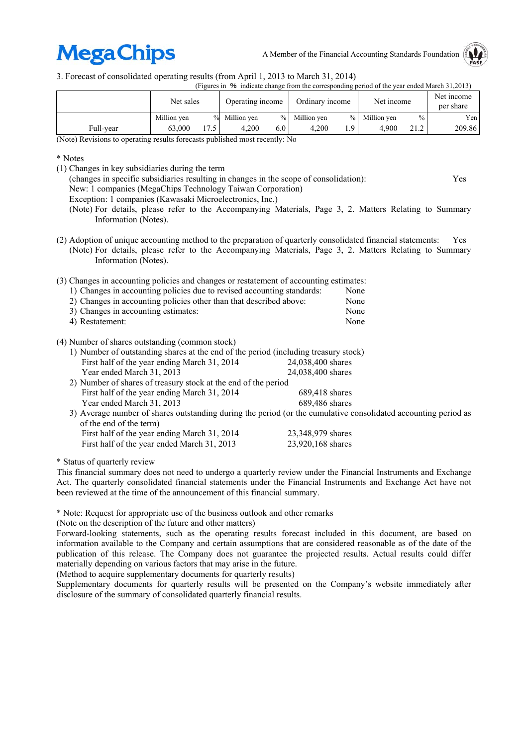# **MegaChips**

A Member of the Financial Accounting Standards Foundation



3. Forecast of consolidated operating results (from April 1, 2013 to March 31, 2014)

(Figures in % indicate change from the corresponding period of the year ended March 31,2013)

|           | Net sales   |                 | Operating income |               | Ordinary income |      | Net income  |               | Net income<br>per share |
|-----------|-------------|-----------------|------------------|---------------|-----------------|------|-------------|---------------|-------------------------|
|           | Million ven | $\%$            | Million ven      | $\frac{0}{0}$ | Million ven     | $\%$ | Million ven | $\frac{0}{0}$ | Yen                     |
| Full-year | 63.000      | 17 <sup>7</sup> | 4.200            | 6.0           | 4.200           | 9۰.  | 4.900       | 21.2          | 209.86                  |

(Note) Revisions to operating results forecasts published most recently: No

\* Notes

- (1) Changes in key subsidiaries during the term
	- (changes in specific subsidiaries resulting in changes in the scope of consolidation): Yes
	- New: 1 companies (MegaChips Technology Taiwan Corporation)
	- Exception: 1 companies (Kawasaki Microelectronics, Inc.)
	- (Note) For details, please refer to the Accompanying Materials, Page 3, 2. Matters Relating to Summary Information (Notes).
- (2) Adoption of unique accounting method to the preparation of quarterly consolidated financial statements: Yes (Note) For details, please refer to the Accompanying Materials, Page 3, 2. Matters Relating to Summary Information (Notes).

| (3) Changes in accounting policies and changes or restatement of accounting estimates:<br>1) Changes in accounting policies due to revised accounting standards:<br>2) Changes in accounting policies other than that described above:<br>3) Changes in accounting estimates:<br>4) Restatement: |                   | None<br>None<br>None<br>None |
|--------------------------------------------------------------------------------------------------------------------------------------------------------------------------------------------------------------------------------------------------------------------------------------------------|-------------------|------------------------------|
| (4) Number of shares outstanding (common stock)<br>1) Number of outstanding shares at the end of the period (including treasury stock)                                                                                                                                                           |                   |                              |
| First half of the year ending March 31, 2014                                                                                                                                                                                                                                                     | 24,038,400 shares |                              |
| Year ended March 31, 2013                                                                                                                                                                                                                                                                        | 24,038,400 shares |                              |
| 2) Number of shares of treasury stock at the end of the period                                                                                                                                                                                                                                   |                   |                              |
| First half of the year ending March 31, 2014                                                                                                                                                                                                                                                     | 689,418 shares    |                              |

Year ended March 31, 2013 689,486 shares 3) Average number of shares outstanding during the period (or the cumulative consolidated accounting period as of the end of the term) First half of the year ending March 31, 2014 23,348,979 shares First half of the year ended March 31, 2013 23,920,168 shares

\* Status of quarterly review

This financial summary does not need to undergo a quarterly review under the Financial Instruments and Exchange Act. The quarterly consolidated financial statements under the Financial Instruments and Exchange Act have not been reviewed at the time of the announcement of this financial summary.

\* Note: Request for appropriate use of the business outlook and other remarks

(Note on the description of the future and other matters)

Forward-looking statements, such as the operating results forecast included in this document, are based on information available to the Company and certain assumptions that are considered reasonable as of the date of the publication of this release. The Company does not guarantee the projected results. Actual results could differ materially depending on various factors that may arise in the future.

(Method to acquire supplementary documents for quarterly results)

Supplementary documents for quarterly results will be presented on the Company's website immediately after disclosure of the summary of consolidated quarterly financial results.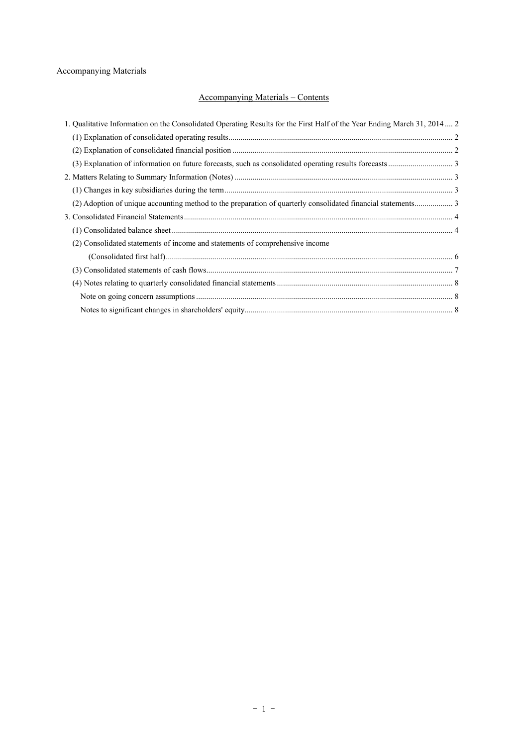## Accompanying Materials

## Accompanying Materials – Contents

| 1. Qualitative Information on the Consolidated Operating Results for the First Half of the Year Ending March 31, 2014 2 |  |
|-------------------------------------------------------------------------------------------------------------------------|--|
|                                                                                                                         |  |
|                                                                                                                         |  |
|                                                                                                                         |  |
|                                                                                                                         |  |
|                                                                                                                         |  |
|                                                                                                                         |  |
|                                                                                                                         |  |
|                                                                                                                         |  |
| (2) Consolidated statements of income and statements of comprehensive income                                            |  |
|                                                                                                                         |  |
|                                                                                                                         |  |
|                                                                                                                         |  |
|                                                                                                                         |  |
|                                                                                                                         |  |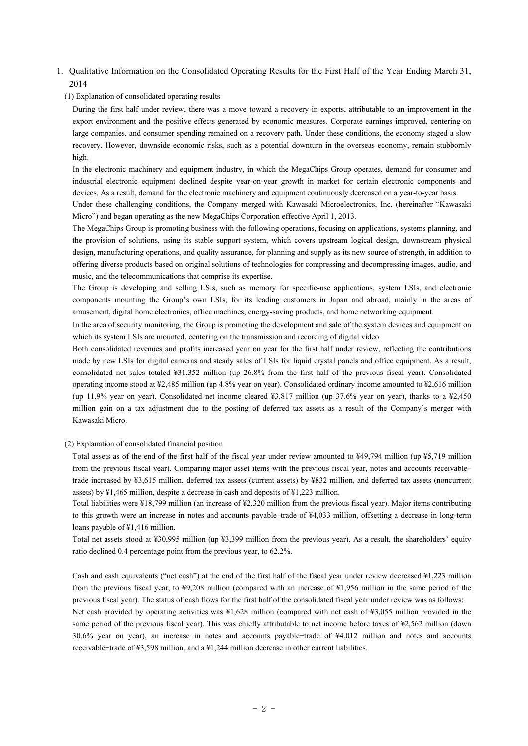## 1. Qualitative Information on the Consolidated Operating Results for the First Half of the Year Ending March 31, 2014

#### (1) Explanation of consolidated operating results

During the first half under review, there was a move toward a recovery in exports, attributable to an improvement in the export environment and the positive effects generated by economic measures. Corporate earnings improved, centering on large companies, and consumer spending remained on a recovery path. Under these conditions, the economy staged a slow recovery. However, downside economic risks, such as a potential downturn in the overseas economy, remain stubbornly high.

In the electronic machinery and equipment industry, in which the MegaChips Group operates, demand for consumer and industrial electronic equipment declined despite year-on-year growth in market for certain electronic components and devices. As a result, demand for the electronic machinery and equipment continuously decreased on a year-to-year basis.

Under these challenging conditions, the Company merged with Kawasaki Microelectronics, Inc. (hereinafter "Kawasaki Micro") and began operating as the new MegaChips Corporation effective April 1, 2013.

The MegaChips Group is promoting business with the following operations, focusing on applications, systems planning, and the provision of solutions, using its stable support system, which covers upstream logical design, downstream physical design, manufacturing operations, and quality assurance, for planning and supply as its new source of strength, in addition to offering diverse products based on original solutions of technologies for compressing and decompressing images, audio, and music, and the telecommunications that comprise its expertise.

The Group is developing and selling LSIs, such as memory for specific-use applications, system LSIs, and electronic components mounting the Group's own LSIs, for its leading customers in Japan and abroad, mainly in the areas of amusement, digital home electronics, office machines, energy-saving products, and home networking equipment.

In the area of security monitoring, the Group is promoting the development and sale of the system devices and equipment on which its system LSIs are mounted, centering on the transmission and recording of digital video.

Both consolidated revenues and profits increased year on year for the first half under review, reflecting the contributions made by new LSIs for digital cameras and steady sales of LSIs for liquid crystal panels and office equipment. As a result, consolidated net sales totaled ¥31,352 million (up 26.8% from the first half of the previous fiscal year). Consolidated operating income stood at ¥2,485 million (up 4.8% year on year). Consolidated ordinary income amounted to ¥2,616 million (up 11.9% year on year). Consolidated net income cleared ¥3,817 million (up 37.6% year on year), thanks to a ¥2,450 million gain on a tax adjustment due to the posting of deferred tax assets as a result of the Company's merger with Kawasaki Micro.

(2) Explanation of consolidated financial position

Total assets as of the end of the first half of the fiscal year under review amounted to ¥49,794 million (up ¥5,719 million from the previous fiscal year). Comparing major asset items with the previous fiscal year, notes and accounts receivable– trade increased by ¥3,615 million, deferred tax assets (current assets) by ¥832 million, and deferred tax assets (noncurrent assets) by ¥1,465 million, despite a decrease in cash and deposits of ¥1,223 million.

Total liabilities were ¥18,799 million (an increase of ¥2,320 million from the previous fiscal year). Major items contributing to this growth were an increase in notes and accounts payable–trade of ¥4,033 million, offsetting a decrease in long-term loans payable of ¥1,416 million.

Total net assets stood at ¥30,995 million (up ¥3,399 million from the previous year). As a result, the shareholders' equity ratio declined 0.4 percentage point from the previous year, to 62.2%.

Cash and cash equivalents ("net cash") at the end of the first half of the fiscal year under review decreased ¥1,223 million from the previous fiscal year, to ¥9,208 million (compared with an increase of ¥1,956 million in the same period of the previous fiscal year). The status of cash flows for the first half of the consolidated fiscal year under review was as follows:

Net cash provided by operating activities was ¥1,628 million (compared with net cash of ¥3,055 million provided in the same period of the previous fiscal year). This was chiefly attributable to net income before taxes of ¥2,562 million (down 30.6% year on year), an increase in notes and accounts payable−trade of ¥4,012 million and notes and accounts receivable−trade of ¥3,598 million, and a ¥1,244 million decrease in other current liabilities.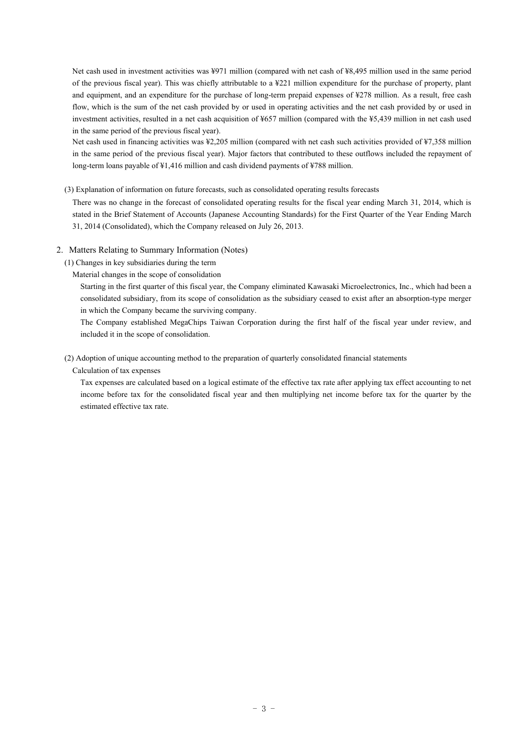Net cash used in investment activities was ¥971 million (compared with net cash of ¥8,495 million used in the same period of the previous fiscal year). This was chiefly attributable to a ¥221 million expenditure for the purchase of property, plant and equipment, and an expenditure for the purchase of long-term prepaid expenses of ¥278 million. As a result, free cash flow, which is the sum of the net cash provided by or used in operating activities and the net cash provided by or used in investment activities, resulted in a net cash acquisition of ¥657 million (compared with the ¥5,439 million in net cash used in the same period of the previous fiscal year).

Net cash used in financing activities was ¥2,205 million (compared with net cash such activities provided of ¥7,358 million in the same period of the previous fiscal year). Major factors that contributed to these outflows included the repayment of long-term loans payable of ¥1,416 million and cash dividend payments of ¥788 million.

#### (3) Explanation of information on future forecasts, such as consolidated operating results forecasts

There was no change in the forecast of consolidated operating results for the fiscal year ending March 31, 2014, which is stated in the Brief Statement of Accounts (Japanese Accounting Standards) for the First Quarter of the Year Ending March 31, 2014 (Consolidated), which the Company released on July 26, 2013.

#### 2. Matters Relating to Summary Information (Notes)

(1) Changes in key subsidiaries during the term

#### Material changes in the scope of consolidation

Starting in the first quarter of this fiscal year, the Company eliminated Kawasaki Microelectronics, Inc., which had been a consolidated subsidiary, from its scope of consolidation as the subsidiary ceased to exist after an absorption-type merger in which the Company became the surviving company.

The Company established MegaChips Taiwan Corporation during the first half of the fiscal year under review, and included it in the scope of consolidation.

#### (2) Adoption of unique accounting method to the preparation of quarterly consolidated financial statements

#### Calculation of tax expenses

Tax expenses are calculated based on a logical estimate of the effective tax rate after applying tax effect accounting to net income before tax for the consolidated fiscal year and then multiplying net income before tax for the quarter by the estimated effective tax rate.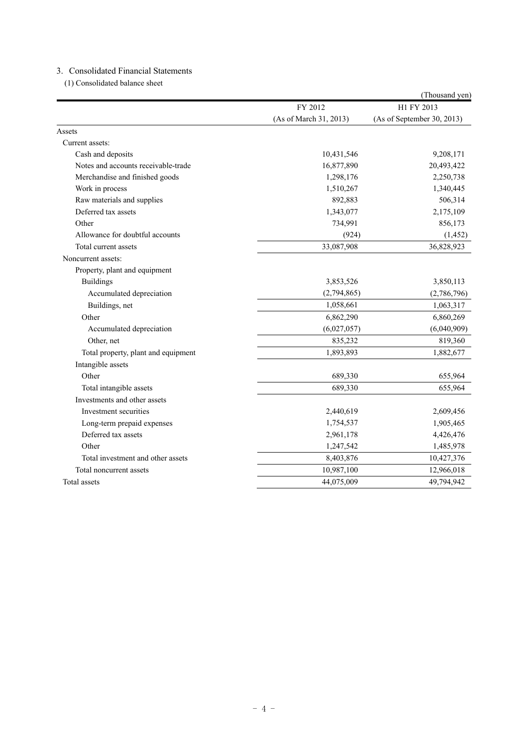### 3. Consolidated Financial Statements

(1) Consolidated balance sheet

|                                     |                        | (Thousand yen)             |
|-------------------------------------|------------------------|----------------------------|
|                                     | FY 2012                | H1 FY 2013                 |
|                                     | (As of March 31, 2013) | (As of September 30, 2013) |
| Assets                              |                        |                            |
| Current assets:                     |                        |                            |
| Cash and deposits                   | 10,431,546             | 9,208,171                  |
| Notes and accounts receivable-trade | 16,877,890             | 20,493,422                 |
| Merchandise and finished goods      | 1,298,176              | 2,250,738                  |
| Work in process                     | 1,510,267              | 1,340,445                  |
| Raw materials and supplies          | 892,883                | 506,314                    |
| Deferred tax assets                 | 1,343,077              | 2,175,109                  |
| Other                               | 734,991                | 856,173                    |
| Allowance for doubtful accounts     | (924)                  | (1, 452)                   |
| Total current assets                | 33,087,908             | 36,828,923                 |
| Noncurrent assets:                  |                        |                            |
| Property, plant and equipment       |                        |                            |
| <b>Buildings</b>                    | 3,853,526              | 3,850,113                  |
| Accumulated depreciation            | (2,794,865)            | (2,786,796)                |
| Buildings, net                      | 1,058,661              | 1,063,317                  |
| Other                               | 6,862,290              | 6,860,269                  |
| Accumulated depreciation            | (6,027,057)            | (6,040,909)                |
| Other, net                          | 835,232                | 819,360                    |
| Total property, plant and equipment | 1,893,893              | 1,882,677                  |
| Intangible assets                   |                        |                            |
| Other                               | 689,330                | 655,964                    |
| Total intangible assets             | 689,330                | 655,964                    |
| Investments and other assets        |                        |                            |
| Investment securities               | 2,440,619              | 2,609,456                  |
| Long-term prepaid expenses          | 1,754,537              | 1,905,465                  |
| Deferred tax assets                 | 2,961,178              | 4,426,476                  |
| Other                               | 1,247,542              | 1,485,978                  |
| Total investment and other assets   | 8,403,876              | 10,427,376                 |
| Total noncurrent assets             | 10,987,100             | 12,966,018                 |
| Total assets                        | 44,075,009             | 49,794,942                 |
|                                     |                        |                            |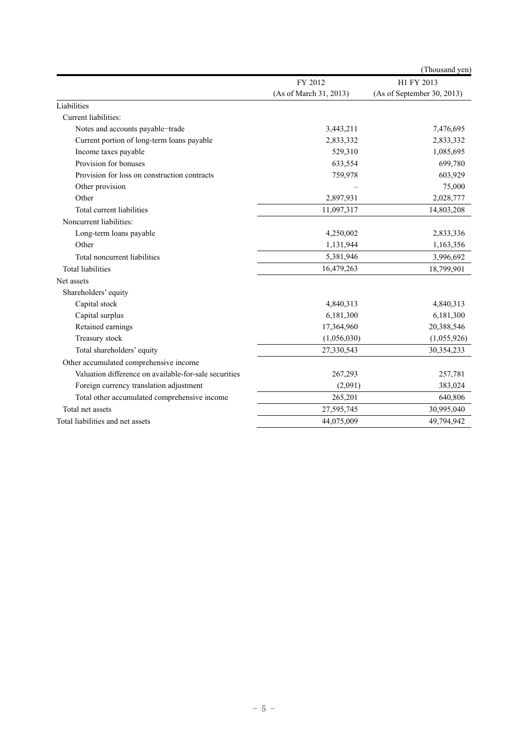|                                                       |                        | (Thousand yen)             |
|-------------------------------------------------------|------------------------|----------------------------|
|                                                       | FY 2012                | H1 FY 2013                 |
|                                                       | (As of March 31, 2013) | (As of September 30, 2013) |
| Liabilities                                           |                        |                            |
| Current liabilities:                                  |                        |                            |
| Notes and accounts payable-trade                      | 3,443,211              | 7,476,695                  |
| Current portion of long-term loans payable            | 2,833,332              | 2,833,332                  |
| Income taxes payable                                  | 529,310                | 1,085,695                  |
| Provision for bonuses                                 | 633,554                | 699,780                    |
| Provision for loss on construction contracts          | 759,978                | 603,929                    |
| Other provision                                       |                        | 75,000                     |
| Other                                                 | 2,897,931              | 2,028,777                  |
| Total current liabilities                             | 11,097,317             | 14,803,208                 |
| Noncurrent liabilities:                               |                        |                            |
| Long-term loans payable                               | 4,250,002              | 2,833,336                  |
| Other                                                 | 1,131,944              | 1,163,356                  |
| Total noncurrent liabilities                          | 5,381,946              | 3,996,692                  |
| <b>Total liabilities</b>                              | 16,479,263             | 18,799,901                 |
| Net assets                                            |                        |                            |
| Shareholders' equity                                  |                        |                            |
| Capital stock                                         | 4,840,313              | 4,840,313                  |
| Capital surplus                                       | 6,181,300              | 6,181,300                  |
| Retained earnings                                     | 17,364,960             | 20,388,546                 |
| Treasury stock                                        | (1,056,030)            | (1,055,926)                |
| Total shareholders' equity                            | 27,330,543             | 30,354,233                 |
| Other accumulated comprehensive income                |                        |                            |
| Valuation difference on available-for-sale securities | 267,293                | 257,781                    |
| Foreign currency translation adjustment               | (2,091)                | 383,024                    |
| Total other accumulated comprehensive income          | 265,201                | 640,806                    |
| Total net assets                                      | 27,595,745             | 30,995,040                 |
| Total liabilities and net assets                      | 44,075,009             | 49,794,942                 |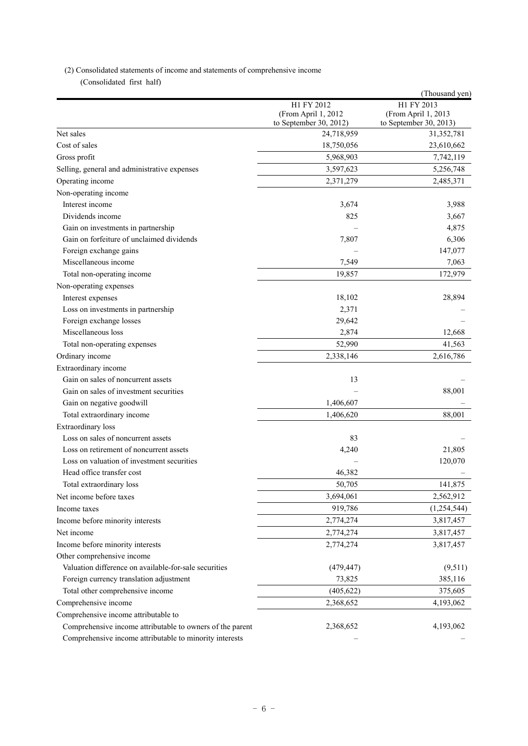## (2) Consolidated statements of income and statements of comprehensive income

(Consolidated first half)

|                                                           |                                      | (Thousand yen)                       |
|-----------------------------------------------------------|--------------------------------------|--------------------------------------|
|                                                           | H1 FY 2012                           | H1 FY 2013                           |
|                                                           | (From April 1, 2012                  | (From April 1, 2013                  |
| Net sales                                                 | to September 30, 2012)<br>24,718,959 | to September 30, 2013)<br>31,352,781 |
| Cost of sales                                             | 18,750,056                           | 23,610,662                           |
|                                                           | 5,968,903                            | 7,742,119                            |
| Gross profit                                              |                                      |                                      |
| Selling, general and administrative expenses              | 3,597,623                            | 5,256,748                            |
| Operating income                                          | 2,371,279                            | 2,485,371                            |
| Non-operating income                                      |                                      |                                      |
| Interest income                                           | 3,674                                | 3,988                                |
| Dividends income                                          | 825                                  | 3,667                                |
| Gain on investments in partnership                        |                                      | 4,875                                |
| Gain on forfeiture of unclaimed dividends                 | 7,807                                | 6,306                                |
| Foreign exchange gains                                    |                                      | 147,077                              |
| Miscellaneous income                                      | 7,549                                | 7,063                                |
| Total non-operating income                                | 19,857                               | 172,979                              |
| Non-operating expenses                                    |                                      |                                      |
| Interest expenses                                         | 18,102                               | 28,894                               |
| Loss on investments in partnership                        | 2,371                                |                                      |
| Foreign exchange losses                                   | 29,642                               |                                      |
| Miscellaneous loss                                        | 2,874                                | 12,668                               |
| Total non-operating expenses                              | 52,990                               | 41,563                               |
| Ordinary income                                           | 2,338,146                            | 2,616,786                            |
| Extraordinary income                                      |                                      |                                      |
| Gain on sales of noncurrent assets                        | 13                                   |                                      |
| Gain on sales of investment securities                    |                                      | 88,001                               |
| Gain on negative goodwill                                 | 1,406,607                            |                                      |
| Total extraordinary income                                | 1,406,620                            | 88,001                               |
| Extraordinary loss                                        |                                      |                                      |
| Loss on sales of noncurrent assets                        | 83                                   |                                      |
| Loss on retirement of noncurrent assets                   | 4,240                                | 21,805                               |
| Loss on valuation of investment securities                |                                      | 120,070                              |
| Head office transfer cost                                 | 46,382                               |                                      |
| Total extraordinary loss                                  | 50,705                               | 141,875                              |
| Net income before taxes                                   | 3,694,061                            | 2,562,912                            |
| Income taxes                                              | 919,786                              | (1,254,544)                          |
| Income before minority interests                          | 2,774,274                            | 3,817,457                            |
| Net income                                                | 2,774,274                            | 3,817,457                            |
| Income before minority interests                          | 2,774,274                            | 3,817,457                            |
| Other comprehensive income                                |                                      |                                      |
| Valuation difference on available-for-sale securities     |                                      | (9,511)                              |
|                                                           | (479, 447)                           |                                      |
| Foreign currency translation adjustment                   | 73,825                               | 385,116                              |
| Total other comprehensive income                          | (405, 622)                           | 375,605                              |
| Comprehensive income                                      | 2,368,652                            | 4,193,062                            |
| Comprehensive income attributable to                      |                                      |                                      |
| Comprehensive income attributable to owners of the parent | 2,368,652                            | 4,193,062                            |
| Comprehensive income attributable to minority interests   |                                      |                                      |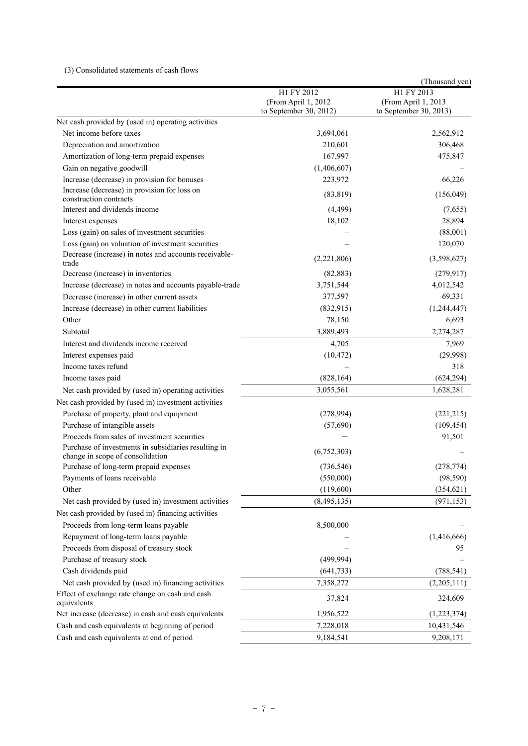#### (3) Consolidated statements of cash flows

|                                                                                          |                                                             | (Thousand yen)                                              |
|------------------------------------------------------------------------------------------|-------------------------------------------------------------|-------------------------------------------------------------|
|                                                                                          | H1 FY 2012<br>(From April 1, 2012<br>to September 30, 2012) | H1 FY 2013<br>(From April 1, 2013<br>to September 30, 2013) |
| Net cash provided by (used in) operating activities                                      |                                                             |                                                             |
| Net income before taxes                                                                  | 3,694,061                                                   | 2,562,912                                                   |
| Depreciation and amortization                                                            | 210,601                                                     | 306,468                                                     |
| Amortization of long-term prepaid expenses                                               | 167,997                                                     | 475,847                                                     |
| Gain on negative goodwill                                                                | (1,406,607)                                                 |                                                             |
| Increase (decrease) in provision for bonuses                                             | 223,972                                                     | 66,226                                                      |
| Increase (decrease) in provision for loss on<br>construction contracts                   | (83, 819)                                                   | (156,049)                                                   |
| Interest and dividends income                                                            | (4,499)                                                     | (7,655)                                                     |
| Interest expenses                                                                        | 18,102                                                      | 28,894                                                      |
| Loss (gain) on sales of investment securities                                            |                                                             | (88,001)                                                    |
| Loss (gain) on valuation of investment securities                                        |                                                             | 120,070                                                     |
| Decrease (increase) in notes and accounts receivable-<br>trade                           | (2,221,806)                                                 | (3,598,627)                                                 |
| Decrease (increase) in inventories                                                       | (82, 883)                                                   | (279, 917)                                                  |
| Increase (decrease) in notes and accounts payable-trade                                  | 3,751,544                                                   | 4,012,542                                                   |
| Decrease (increase) in other current assets                                              | 377,597                                                     | 69,331                                                      |
| Increase (decrease) in other current liabilities                                         | (832, 915)                                                  | (1, 244, 447)                                               |
| Other                                                                                    | 78,150                                                      | 6,693                                                       |
| Subtotal                                                                                 | 3,889,493                                                   | 2,274,287                                                   |
| Interest and dividends income received                                                   | 4,705                                                       | 7,969                                                       |
| Interest expenses paid                                                                   | (10, 472)                                                   | (29,998)                                                    |
| Income taxes refund                                                                      |                                                             | 318                                                         |
| Income taxes paid                                                                        | (828, 164)                                                  | (624, 294)                                                  |
| Net cash provided by (used in) operating activities                                      | 3,055,561                                                   | 1,628,281                                                   |
| Net cash provided by (used in) investment activities                                     |                                                             |                                                             |
| Purchase of property, plant and equipment                                                | (278,994)                                                   | (221, 215)                                                  |
| Purchase of intangible assets                                                            | (57,690)                                                    | (109, 454)                                                  |
| Proceeds from sales of investment securities                                             |                                                             | 91,501                                                      |
| Purchase of investments in subsidiaries resulting in<br>change in scope of consolidation | (6,752,303)                                                 |                                                             |
| Purchase of long-term prepaid expenses                                                   | (736, 546)                                                  | (278, 774)                                                  |
| Payments of loans receivable                                                             | (550,000)                                                   | (98, 590)                                                   |
| Other                                                                                    | (119,600)                                                   | (354, 621)                                                  |
| Net cash provided by (used in) investment activities                                     | (8,495,135)                                                 | (971, 153)                                                  |
| Net cash provided by (used in) financing activities                                      |                                                             |                                                             |
| Proceeds from long-term loans payable                                                    | 8,500,000                                                   |                                                             |
| Repayment of long-term loans payable                                                     |                                                             | (1,416,666)                                                 |
| Proceeds from disposal of treasury stock                                                 |                                                             | 95                                                          |
| Purchase of treasury stock                                                               | (499, 994)                                                  |                                                             |
| Cash dividends paid                                                                      | (641, 733)                                                  | (788, 541)                                                  |
| Net cash provided by (used in) financing activities                                      | 7,358,272                                                   | (2,205,111)                                                 |
| Effect of exchange rate change on cash and cash<br>equivalents                           | 37,824                                                      | 324,609                                                     |
| Net increase (decrease) in cash and cash equivalents                                     | 1,956,522                                                   | (1,223,374)                                                 |
| Cash and cash equivalents at beginning of period                                         | 7,228,018                                                   | 10,431,546                                                  |
| Cash and cash equivalents at end of period                                               | 9,184,541                                                   | 9,208,171                                                   |